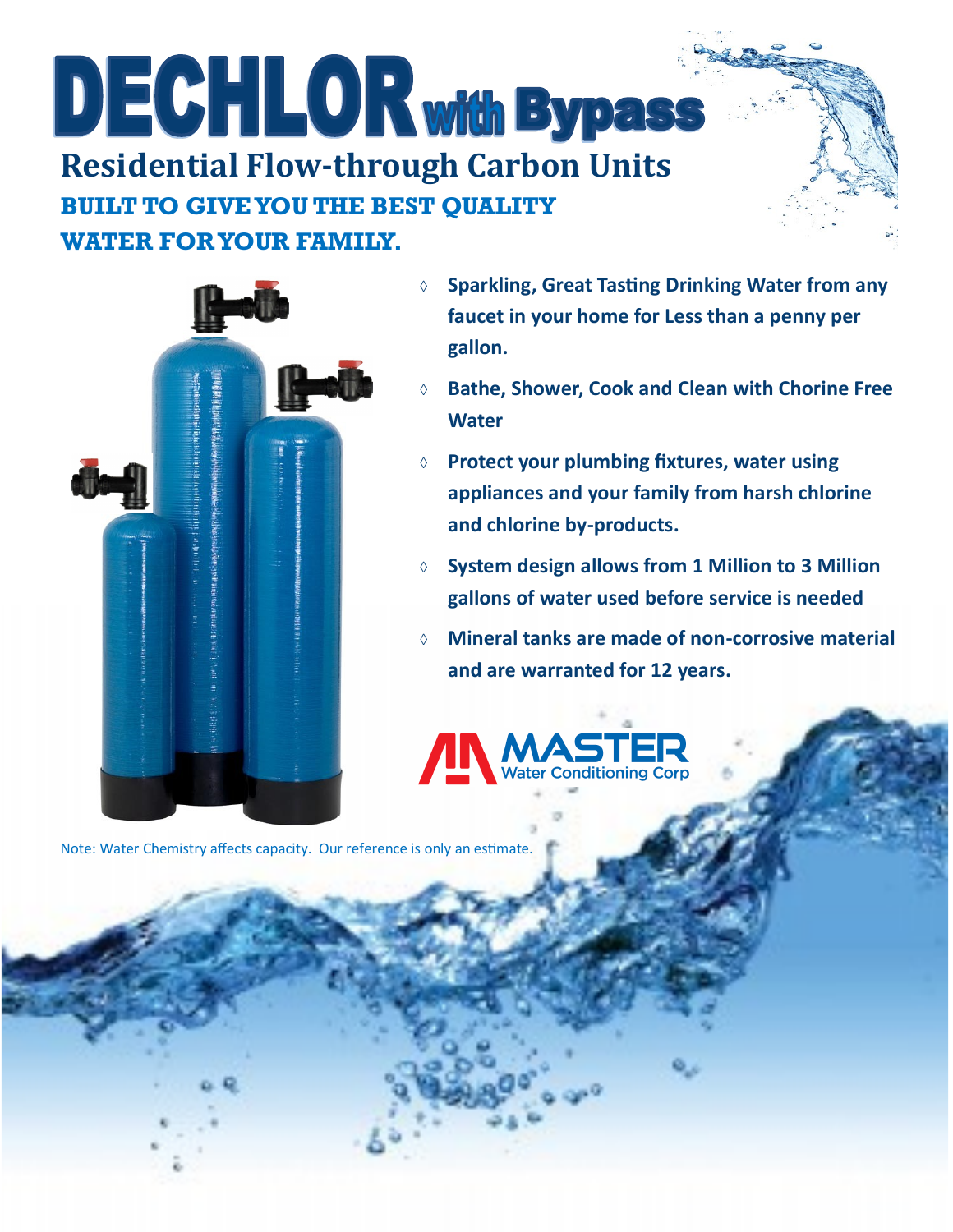## DECHLOR with Bypass **Residential Flow-through Carbon Units BUILT TO GIVE YOU THE BEST QUALITY WATER FOR YOUR FAMILY.**



- **Sparkling, Great Tasting Drinking Water from any faucet in your home for Less than a penny per gallon.**
- **Bathe, Shower, Cook and Clean with Chorine Free Water**
- **Protect your plumbing fixtures, water using appliances and your family from harsh chlorine and chlorine by-products.**
- **System design allows from 1 Million to 3 Million gallons of water used before service is needed**
- **Mineral tanks are made of non-corrosive material and are warranted for 12 years.**



Note: Water Chemistry affects capacity. Our reference is only an estimate.